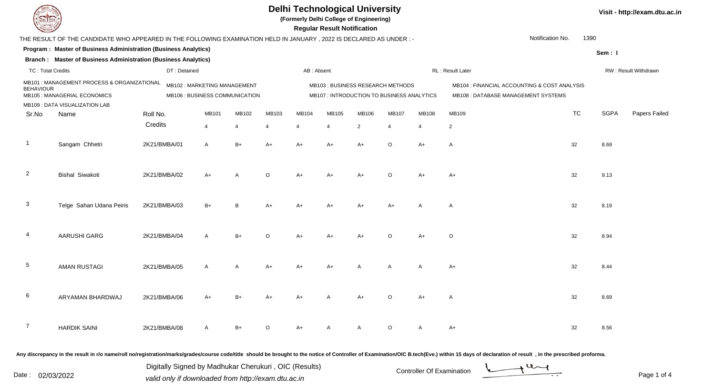**(Formerly Delhi College of Engineering)**

| <b>Courses of The Courses</b> |                                                                                                                                                 |              |                                |       |                       |            | <b>Regular Result Notification</b>         |       |                |       |                                                                                                                                                                                                                                |           |             |                      |
|-------------------------------|-------------------------------------------------------------------------------------------------------------------------------------------------|--------------|--------------------------------|-------|-----------------------|------------|--------------------------------------------|-------|----------------|-------|--------------------------------------------------------------------------------------------------------------------------------------------------------------------------------------------------------------------------------|-----------|-------------|----------------------|
|                               | Notification No.<br>1390<br>THE RESULT OF THE CANDIDATE WHO APPEARED IN THE FOLLOWING EXAMINATION HELD IN JANUARY, 2022 IS DECLARED AS UNDER :- |              |                                |       |                       |            |                                            |       |                |       |                                                                                                                                                                                                                                |           |             |                      |
|                               | Program : Master of Business Administration (Business Analytics)<br>Sem: I                                                                      |              |                                |       |                       |            |                                            |       |                |       |                                                                                                                                                                                                                                |           |             |                      |
|                               | Branch: Master of Business Administration (Business Analytics)                                                                                  |              |                                |       |                       |            |                                            |       |                |       |                                                                                                                                                                                                                                |           |             |                      |
| <b>TC: Total Credits</b>      |                                                                                                                                                 | DT: Detained |                                |       |                       | AB: Absent |                                            |       |                |       | RL: Result Later                                                                                                                                                                                                               |           |             | RW: Result Withdrawn |
|                               | MB101: MANAGEMENT PROCESS & ORGANIZATIONAL                                                                                                      |              | MB102: MARKETING MANAGEMENT    |       |                       |            | MB103 : BUSINESS RESEARCH METHODS          |       |                |       | MB104 : FINANCIAL ACCOUNTING & COST ANALYSIS                                                                                                                                                                                   |           |             |                      |
| <b>BEHAVIOUR</b>              | MB105 : MANAGERIAL ECONOMICS                                                                                                                    |              | MB106 : BUSINESS COMMUNICATION |       |                       |            | MB107 : INTRODUCTION TO BUSINESS ANALYTICS |       |                |       | MB108 : DATABASE MANAGEMENT SYSTEMS                                                                                                                                                                                            |           |             |                      |
|                               | MB109 : DATA VISUALIZATION LAB                                                                                                                  |              |                                |       |                       |            |                                            |       |                |       |                                                                                                                                                                                                                                |           |             |                      |
| Sr.No                         | Name                                                                                                                                            | Roll No.     | <b>MB101</b>                   | MB102 | MB103                 | MB104      | MB105                                      | MB106 | MB107          | MB108 | MB109                                                                                                                                                                                                                          | <b>TC</b> | <b>SGPA</b> | Papers Failed        |
|                               |                                                                                                                                                 | Credits      | $\overline{4}$                 |       | $\boldsymbol{\Delta}$ | 4          | $\boldsymbol{\Delta}$                      | 2     | $\overline{4}$ | 4     | $\overline{2}$                                                                                                                                                                                                                 |           |             |                      |
| $\mathbf{1}$                  | Sangam Chhetri                                                                                                                                  | 2K21/BMBA/01 | Α                              | $B+$  | $A+$                  | $A+$       | $A+$                                       | $A+$  | $\circ$        | $A+$  | $\mathsf{A}$                                                                                                                                                                                                                   | 32        | 8.69        |                      |
| $\overline{2}$                | <b>Bishal Siwakoti</b>                                                                                                                          | 2K21/BMBA/02 | A+                             | A     | $\mathsf O$           | A+         | A+                                         | A+    | $\circ$        | A+    | A+                                                                                                                                                                                                                             | 32        | 9.13        |                      |
| 3                             | Telge Sahan Udana Peiris                                                                                                                        | 2K21/BMBA/03 | $B+$                           | R     | $A+$                  | A+         |                                            |       | $A+$           |       | A                                                                                                                                                                                                                              | 32        | 8.19        |                      |
| 4                             | AARUSHI GARG                                                                                                                                    | 2K21/BMBA/04 | A                              | $B+$  | O                     | A+         | A+                                         | A+    | $\circ$        | A+    | O                                                                                                                                                                                                                              | 32        | 8.94        |                      |
| $\sqrt{5}$                    | <b>AMAN RUSTAGI</b>                                                                                                                             | 2K21/BMBA/05 | Α                              | Α     | $A+$                  | A+         | $A+$                                       |       | A              | A     | $A+$                                                                                                                                                                                                                           | 32        | 8.44        |                      |
| $\,6\,$                       | ARYAMAN BHARDWAJ                                                                                                                                | 2K21/BMBA/06 | $A+$                           | $B+$  | $A+$                  | A+         | А                                          | A+    | O              | A+    | A                                                                                                                                                                                                                              | 32        | 8.69        |                      |
| $\overline{7}$                | <b>HARDIK SAINI</b>                                                                                                                             | 2K21/BMBA/08 | Α                              | $B+$  | $\circ$               | A+         | А                                          |       | $\circ$        | A     | $A+$                                                                                                                                                                                                                           | 32        | 8.56        |                      |
|                               |                                                                                                                                                 |              |                                |       |                       |            |                                            |       |                |       | Any discrepancy in the result in r/o name/roll no/registration/marks/grades/course code/title should be brought to the notice of Controller of Examination/OIC B.tech(Eve.) within 15 days of declaration of result , in the p |           |             |                      |

Date : 02/03/2022 valid only if downloaded from http://exam.dtu.ac.in<br>
Date : 02/03/2022 valid only if downloaded from http://exam.dtu.ac.in Digitally Signed by Madhukar Cherukuri , OIC (Results)

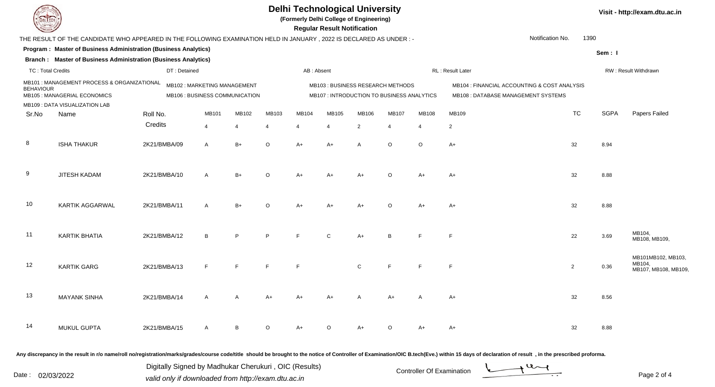**(Formerly Delhi College of Engineering)**

| <b>County of Group</b>   |                                                                                                                     |              |                                                               |                |                |            | <b>Regular Result Notification</b> |                |                                                                                |                |                                                                                                                |           |             |                                                     |
|--------------------------|---------------------------------------------------------------------------------------------------------------------|--------------|---------------------------------------------------------------|----------------|----------------|------------|------------------------------------|----------------|--------------------------------------------------------------------------------|----------------|----------------------------------------------------------------------------------------------------------------|-----------|-------------|-----------------------------------------------------|
|                          | THE RESULT OF THE CANDIDATE WHO APPEARED IN THE FOLLOWING EXAMINATION HELD IN JANUARY, 2022 IS DECLARED AS UNDER :- |              |                                                               |                |                |            |                                    |                |                                                                                |                | Notification No.                                                                                               | 1390      |             |                                                     |
|                          | Program: Master of Business Administration (Business Analytics)                                                     |              |                                                               |                |                |            |                                    |                |                                                                                |                |                                                                                                                |           | Sem: I      |                                                     |
|                          | <b>Branch: Master of Business Administration (Business Analytics)</b>                                               |              |                                                               |                |                |            |                                    |                |                                                                                |                |                                                                                                                |           |             |                                                     |
| <b>TC: Total Credits</b> |                                                                                                                     | DT: Detained |                                                               |                |                | AB: Absent |                                    |                |                                                                                |                | RL : Result Later                                                                                              |           |             | RW: Result Withdrawn                                |
| <b>BEHAVIOUR</b>         | MB101 : MANAGEMENT PROCESS & ORGANIZATIONAL<br>MB105 : MANAGERIAL ECONOMICS<br>MB109 : DATA VISUALIZATION LAB       |              | MB102: MARKETING MANAGEMENT<br>MB106 : BUSINESS COMMUNICATION |                |                |            |                                    |                | MB103: BUSINESS RESEARCH METHODS<br>MB107 : INTRODUCTION TO BUSINESS ANALYTICS |                | MB104 : FINANCIAL ACCOUNTING & COST ANALYSIS<br>MB108 : DATABASE MANAGEMENT SYSTEMS                            |           |             |                                                     |
| Sr.No                    | Name                                                                                                                | Roll No.     | MB101                                                         | MB102          | MB103          | MB104      | MB105                              | MB106          | <b>MB107</b>                                                                   | MB108          | MB109                                                                                                          | <b>TC</b> | <b>SGPA</b> | Papers Failed                                       |
|                          |                                                                                                                     | Credits      | $\overline{4}$                                                | $\overline{4}$ | $\overline{4}$ |            | $\overline{4}$                     | $\overline{2}$ |                                                                                | $\overline{4}$ | $\overline{c}$                                                                                                 |           |             |                                                     |
| 8                        | <b>ISHA THAKUR</b>                                                                                                  | 2K21/BMBA/09 | $\mathsf{A}$                                                  | $B+$           | $\circ$        | $A+$       | $A+$                               | A              | $\circ$                                                                        | $\circ$        | $A+$                                                                                                           | 32        | 8.94        |                                                     |
| 9                        | JITESH KADAM                                                                                                        | 2K21/BMBA/10 | A                                                             | $B+$           | $\Omega$       | $A +$      | $A+$                               |                | ∩                                                                              | A+             | A+                                                                                                             | 32        | 8.88        |                                                     |
| 10                       | KARTIK AGGARWAL                                                                                                     | 2K21/BMBA/11 | $\mathsf{A}$                                                  | $B+$           | $\circ$        | $A+$       | $A+$                               | $A+$           | $\Omega$                                                                       | A+             | $A+$                                                                                                           | 32        | 8.88        |                                                     |
| 11                       | <b>KARTIK BHATIA</b>                                                                                                | 2K21/BMBA/12 | B                                                             | P              | P              |            | $\mathsf{C}$                       | $A+$           | B                                                                              |                | $\mathsf{F}$                                                                                                   | 22        | 3.69        | MB104,<br>MB108, MB109,                             |
| 12                       | <b>KARTIK GARG</b>                                                                                                  | 2K21/BMBA/13 |                                                               | E              | E              |            |                                    | $\mathsf{C}$   | E                                                                              |                | $\mathsf{F}$                                                                                                   | 2         | 0.36        | MB101MB102, MB103,<br>MB104,<br>MB107, MB108, MB109 |
| 13                       | <b>MAYANK SINHA</b>                                                                                                 | 2K21/BMBA/14 | A                                                             | A              | A+             |            | A+                                 |                | Δ٦                                                                             |                | A+                                                                                                             | 32        | 8.56        |                                                     |
| 14                       | MUKUL GUPTA                                                                                                         | 2K21/BMBA/15 | A                                                             | B              | $\circ$        |            | $\Omega$                           |                |                                                                                |                | A+                                                                                                             | 32        | 8.88        |                                                     |
|                          |                                                                                                                     |              |                                                               |                |                |            |                                    |                |                                                                                |                | . A shekarar ta 1970 ta 1970 ta 1980 ta 1980 ta 2080 ta 2080 ta 2080 ta 2080 ta 2080 ta 2080 ta 2080 ta 2080 t |           |             |                                                     |

Any discrepancy in the result in r/o name/roll no/registration/marks/grades/course code/title should be brought to the notice of Controller of Examination/OIC B.tech(Eve.) within 15 days of declaration of result ,in the p

Date : 02/03/2022 valid only if downloaded from http://exam.dtu.ac.in<br>Page 2 of Digitally Signed by Madhukar Cherukuri , OIC (Results)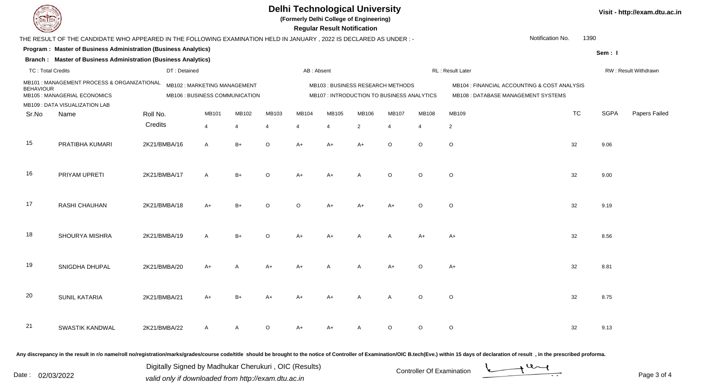**(Formerly Delhi College of Engineering)**

|                                                                                                |                                                                                                                     |              |                                                               |       |                |            | <b>Regular Result Notification</b>                                              |                |                |                |                                                                                     |           |             |                      |
|------------------------------------------------------------------------------------------------|---------------------------------------------------------------------------------------------------------------------|--------------|---------------------------------------------------------------|-------|----------------|------------|---------------------------------------------------------------------------------|----------------|----------------|----------------|-------------------------------------------------------------------------------------|-----------|-------------|----------------------|
|                                                                                                | THE RESULT OF THE CANDIDATE WHO APPEARED IN THE FOLLOWING EXAMINATION HELD IN JANUARY, 2022 IS DECLARED AS UNDER :- |              |                                                               |       |                |            |                                                                                 |                |                |                | Notification No.                                                                    | 1390      |             |                      |
|                                                                                                | Program : Master of Business Administration (Business Analytics)                                                    |              |                                                               |       |                |            |                                                                                 |                |                |                |                                                                                     |           | Sem: I      |                      |
|                                                                                                | <b>Branch: Master of Business Administration (Business Analytics)</b>                                               |              |                                                               |       |                |            |                                                                                 |                |                |                |                                                                                     |           |             |                      |
| <b>TC: Total Credits</b>                                                                       |                                                                                                                     | DT: Detained |                                                               |       |                | AB: Absent |                                                                                 |                |                |                | RL: Result Later                                                                    |           |             | RW: Result Withdrawn |
| MB101: MANAGEMENT PROCESS & ORGANIZATIONAL<br><b>BEHAVIOUR</b><br>MB105 : MANAGERIAL ECONOMICS |                                                                                                                     |              | MB102: MARKETING MANAGEMENT<br>MB106 : BUSINESS COMMUNICATION |       |                |            | MB103 : BUSINESS RESEARCH METHODS<br>MB107 : INTRODUCTION TO BUSINESS ANALYTICS |                |                |                | MB104 : FINANCIAL ACCOUNTING & COST ANALYSIS<br>MB108 : DATABASE MANAGEMENT SYSTEMS |           |             |                      |
| Sr.No                                                                                          | MB109 : DATA VISUALIZATION LAB<br>Name                                                                              | Roll No.     | MB101                                                         | MB102 | MB103          | MB104      | MB105                                                                           | MB106          | <b>MB107</b>   | <b>MB108</b>   | MB109                                                                               | <b>TC</b> | <b>SGPA</b> | Papers Failed        |
|                                                                                                |                                                                                                                     | Credits      | $\overline{4}$                                                | 4     | $\overline{4}$ | 4          | 4                                                                               | $\overline{2}$ | $\overline{4}$ | $\overline{4}$ | $\overline{c}$                                                                      |           |             |                      |
| 15                                                                                             | PRATIBHA KUMARI                                                                                                     | 2K21/BMBA/16 | A                                                             | $B+$  | $\circ$        | $A+$       | $A+$                                                                            | $A+$           | $\circ$        | $\circ$        | $\circ$                                                                             | 32        | 9.06        |                      |
| 16                                                                                             | PRIYAM UPRETI                                                                                                       | 2K21/BMBA/17 | $\mathsf{A}$                                                  | $B+$  | $\Omega$       | $A+$       | $A+$                                                                            |                | $\circ$        | $\circ$        | $\circ$                                                                             | 32        | 9.00        |                      |
| 17                                                                                             | RASHI CHAUHAN                                                                                                       | 2K21/BMBA/18 | $A+$                                                          | $B+$  | ∩              | $\Omega$   | $A+$                                                                            | $A+$           | $A+$           | $\circ$        | $\circ$                                                                             | 32        | 9.19        |                      |
| 18                                                                                             | SHOURYA MISHRA                                                                                                      | 2K21/BMBA/19 | $\mathsf{A}$                                                  | $B+$  | $\Omega$       | $A+$       | $A+$                                                                            |                | $\mathsf{A}$   | $A+$           | A+                                                                                  | 32        | 8.56        |                      |
| 19                                                                                             | SNIGDHA DHUPAL                                                                                                      | 2K21/BMBA/20 | $A+$                                                          |       | A+             | $A+$       |                                                                                 | A              | $A+$           | $\circ$        | A+                                                                                  | 32        | 8.81        |                      |
| 20                                                                                             | <b>SUNIL KATARIA</b>                                                                                                | 2K21/BMBA/21 | $A+$                                                          | $B+$  | $A+$           | A+         | $A+$                                                                            |                | A              | $\circ$        | $\circ$                                                                             | 32        | 8.75        |                      |
| 21                                                                                             | SWASTIK KANDWAL                                                                                                     | 2K21/BMBA/22 |                                                               |       | ∩              |            |                                                                                 |                | $\Omega$       | $\Omega$       | $\mathsf O$                                                                         | 32        | 9.13        |                      |
|                                                                                                |                                                                                                                     |              |                                                               |       |                |            |                                                                                 |                |                |                |                                                                                     |           |             |                      |

Any discrepancy in the result in r/o name/roll no/registration/marks/grades/course code/title should be brought to the notice of Controller of Examination/OIC B.tech(Eve.) within 15 days of declaration of result , in the p

Date : 02/03/2022 valid only if downloaded from http://exam.dtu.ac.in<br>
Date : 02/03/2022 valid only if downloaded from http://exam.dtu.ac.in Digitally Signed by Madhukar Cherukuri , OIC (Results)